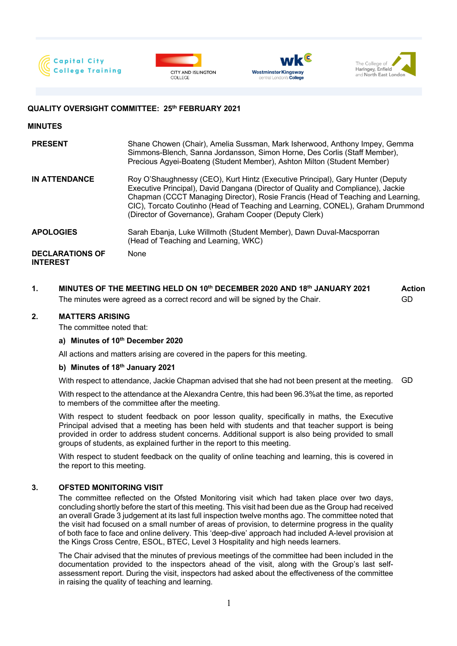







# **QUALITY OVERSIGHT COMMITTEE: 25th FEBRUARY 2021**

| <b>MINUTES</b>                            |                                                                                                                                                                                                                                                                                                                                                                                                   |
|-------------------------------------------|---------------------------------------------------------------------------------------------------------------------------------------------------------------------------------------------------------------------------------------------------------------------------------------------------------------------------------------------------------------------------------------------------|
| <b>PRESENT</b>                            | Shane Chowen (Chair), Amelia Sussman, Mark Isherwood, Anthony Impey, Gemma<br>Simmons-Blench, Sanna Jordansson, Simon Horne, Des Corlis (Staff Member),<br>Precious Agyei-Boateng (Student Member), Ashton Milton (Student Member)                                                                                                                                                                |
| <b>IN ATTENDANCE</b>                      | Roy O'Shaughnessy (CEO), Kurt Hintz (Executive Principal), Gary Hunter (Deputy<br>Executive Principal), David Dangana (Director of Quality and Compliance), Jackie<br>Chapman (CCCT Managing Director), Rosie Francis (Head of Teaching and Learning,<br>CIC), Torcato Coutinho (Head of Teaching and Learning, CONEL), Graham Drummond<br>(Director of Governance), Graham Cooper (Deputy Clerk) |
| <b>APOLOGIES</b>                          | Sarah Ebanja, Luke Willmoth (Student Member), Dawn Duval-Macsporran<br>(Head of Teaching and Learning, WKC)                                                                                                                                                                                                                                                                                       |
| <b>DECLARATIONS OF</b><br><b>INTEREST</b> | None                                                                                                                                                                                                                                                                                                                                                                                              |

**1. MINUTES OF THE MEETING HELD ON 10th DECEMBER 2020 AND 18th JANUARY 2021 Action** The minutes were agreed as a correct record and will be signed by the Chair. GD

### **2. MATTERS ARISING**

The committee noted that:

# **a) Minutes of 10th December 2020**

All actions and matters arising are covered in the papers for this meeting.

### **b) Minutes of 18th January 2021**

With respect to attendance, Jackie Chapman advised that she had not been present at the meeting. GD

With respect to the attendance at the Alexandra Centre, this had been 96.3%at the time, as reported to members of the committee after the meeting.

With respect to student feedback on poor lesson quality, specifically in maths, the Executive Principal advised that a meeting has been held with students and that teacher support is being provided in order to address student concerns. Additional support is also being provided to small groups of students, as explained further in the report to this meeting.

With respect to student feedback on the quality of online teaching and learning, this is covered in the report to this meeting.

# **3. OFSTED MONITORING VISIT**

The committee reflected on the Ofsted Monitoring visit which had taken place over two days, concluding shortly before the start of this meeting. This visit had been due as the Group had received an overall Grade 3 judgement at its last full inspection twelve months ago. The committee noted that the visit had focused on a small number of areas of provision, to determine progress in the quality of both face to face and online delivery. This 'deep-dive' approach had included A-level provision at the Kings Cross Centre, ESOL, BTEC, Level 3 Hospitality and high needs learners.

The Chair advised that the minutes of previous meetings of the committee had been included in the documentation provided to the inspectors ahead of the visit, along with the Group's last selfassessment report. During the visit, inspectors had asked about the effectiveness of the committee in raising the quality of teaching and learning.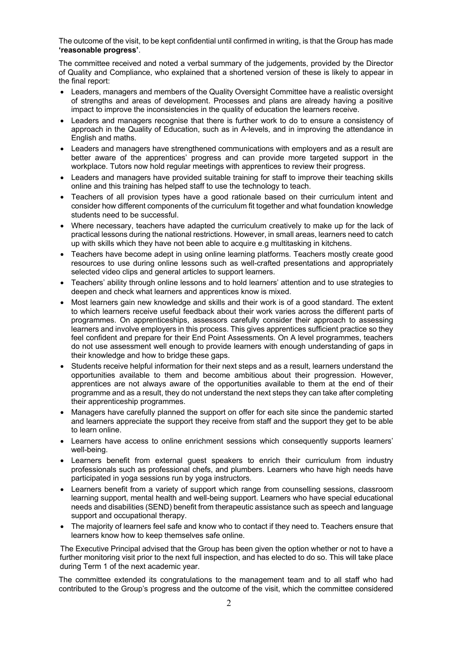The outcome of the visit, to be kept confidential until confirmed in writing, is that the Group has made **'reasonable progress'**.

The committee received and noted a verbal summary of the judgements, provided by the Director of Quality and Compliance, who explained that a shortened version of these is likely to appear in the final report:

- Leaders, managers and members of the Quality Oversight Committee have a realistic oversight of strengths and areas of development. Processes and plans are already having a positive impact to improve the inconsistencies in the quality of education the learners receive.
- Leaders and managers recognise that there is further work to do to ensure a consistency of approach in the Quality of Education, such as in A-levels, and in improving the attendance in English and maths.
- Leaders and managers have strengthened communications with employers and as a result are better aware of the apprentices' progress and can provide more targeted support in the workplace. Tutors now hold regular meetings with apprentices to review their progress.
- Leaders and managers have provided suitable training for staff to improve their teaching skills online and this training has helped staff to use the technology to teach.
- Teachers of all provision types have a good rationale based on their curriculum intent and consider how different components of the curriculum fit together and what foundation knowledge students need to be successful.
- Where necessary, teachers have adapted the curriculum creatively to make up for the lack of practical lessons during the national restrictions. However, in small areas, learners need to catch up with skills which they have not been able to acquire e.g multitasking in kitchens.
- Teachers have become adept in using online learning platforms. Teachers mostly create good resources to use during online lessons such as well-crafted presentations and appropriately selected video clips and general articles to support learners.
- Teachers' ability through online lessons and to hold learners' attention and to use strategies to deepen and check what learners and apprentices know is mixed.
- Most learners gain new knowledge and skills and their work is of a good standard. The extent to which learners receive useful feedback about their work varies across the different parts of programmes. On apprenticeships, assessors carefully consider their approach to assessing learners and involve employers in this process. This gives apprentices sufficient practice so they feel confident and prepare for their End Point Assessments. On A level programmes, teachers do not use assessment well enough to provide learners with enough understanding of gaps in their knowledge and how to bridge these gaps.
- Students receive helpful information for their next steps and as a result, learners understand the opportunities available to them and become ambitious about their progression. However, apprentices are not always aware of the opportunities available to them at the end of their programme and as a result, they do not understand the next steps they can take after completing their apprenticeship programmes.
- Managers have carefully planned the support on offer for each site since the pandemic started and learners appreciate the support they receive from staff and the support they get to be able to learn online.
- Learners have access to online enrichment sessions which consequently supports learners' well-being.
- Learners benefit from external quest speakers to enrich their curriculum from industry professionals such as professional chefs, and plumbers. Learners who have high needs have participated in yoga sessions run by yoga instructors.
- Learners benefit from a variety of support which range from counselling sessions, classroom learning support, mental health and well-being support. Learners who have special educational needs and disabilities (SEND) benefit from therapeutic assistance such as speech and language support and occupational therapy.
- The majority of learners feel safe and know who to contact if they need to. Teachers ensure that learners know how to keep themselves safe online.

The Executive Principal advised that the Group has been given the option whether or not to have a further monitoring visit prior to the next full inspection, and has elected to do so. This will take place during Term 1 of the next academic year.

The committee extended its congratulations to the management team and to all staff who had contributed to the Group's progress and the outcome of the visit, which the committee considered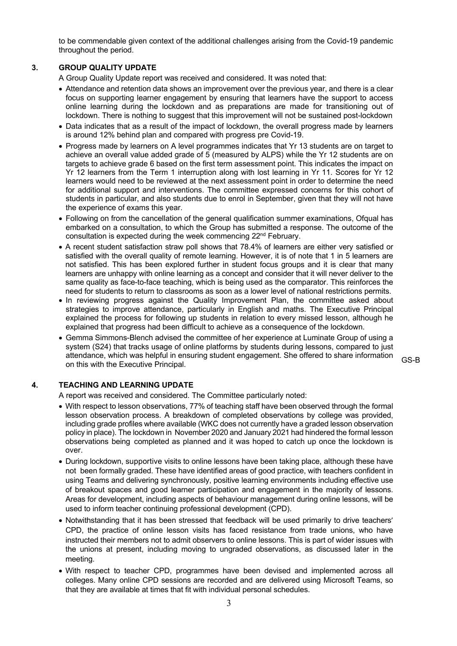to be commendable given context of the additional challenges arising from the Covid-19 pandemic throughout the period.

# **3. GROUP QUALITY UPDATE**

A Group Quality Update report was received and considered. It was noted that:

- Attendance and retention data shows an improvement over the previous year, and there is a clear focus on supporting learner engagement by ensuring that learners have the support to access online learning during the lockdown and as preparations are made for transitioning out of lockdown. There is nothing to suggest that this improvement will not be sustained post-lockdown
- Data indicates that as a result of the impact of lockdown, the overall progress made by learners is around 12% behind plan and compared with progress pre Covid-19.
- Progress made by learners on A level programmes indicates that Yr 13 students are on target to achieve an overall value added grade of 5 (measured by ALPS) while the Yr 12 students are on targets to achieve grade 6 based on the first term assessment point. This indicates the impact on Yr 12 learners from the Term 1 interruption along with lost learning in Yr 11. Scores for Yr 12 learners would need to be reviewed at the next assessment point in order to determine the need for additional support and interventions. The committee expressed concerns for this cohort of students in particular, and also students due to enrol in September, given that they will not have the experience of exams this year.
- Following on from the cancellation of the general qualification summer examinations, Ofqual has embarked on a consultation, to which the Group has submitted a response. The outcome of the consultation is expected during the week commencing 22<sup>nd</sup> February.
- A recent student satisfaction straw poll shows that 78.4% of learners are either very satisfied or satisfied with the overall quality of remote learning. However, it is of note that 1 in 5 learners are not satisfied. This has been explored further in student focus groups and it is clear that many learners are unhappy with online learning as a concept and consider that it will never deliver to the same quality as face-to-face teaching, which is being used as the comparator. This reinforces the need for students to return to classrooms as soon as a lower level of national restrictions permits.
- In reviewing progress against the Quality Improvement Plan, the committee asked about strategies to improve attendance, particularly in English and maths. The Executive Principal explained the process for following up students in relation to every missed lesson, although he explained that progress had been difficult to achieve as a consequence of the lockdown.
- Gemma Simmons-Blench advised the committee of her experience at Luminate Group of using a system (S24) that tracks usage of online platforms by students during lessons, compared to just attendance, which was helpful in ensuring student engagement. She offered to share information <br>on this with the Executive Principal.

# **4. TEACHING AND LEARNING UPDATE**

A report was received and considered. The Committee particularly noted:

- With respect to lesson observations, 77% of teaching staff have been observed through the formal lesson observation process. A breakdown of completed observations by college was provided, including grade profiles where available (WKC does not currently have a graded lesson observation policy in place). The lockdown in November 2020 and January 2021 had hindered the formal lesson observations being completed as planned and it was hoped to catch up once the lockdown is over.
- During lockdown, supportive visits to online lessons have been taking place, although these have not been formally graded. These have identified areas of good practice, with teachers confident in using Teams and delivering synchronously, positive learning environments including effective use of breakout spaces and good learner participation and engagement in the majority of lessons. Areas for development, including aspects of behaviour management during online lessons, will be used to inform teacher continuing professional development (CPD).
- Notwithstanding that it has been stressed that feedback will be used primarily to drive teachers' CPD, the practice of online lesson visits has faced resistance from trade unions, who have instructed their members not to admit observers to online lessons. This is part of wider issues with the unions at present, including moving to ungraded observations, as discussed later in the meeting.
- With respect to teacher CPD, programmes have been devised and implemented across all colleges. Many online CPD sessions are recorded and are delivered using Microsoft Teams, so that they are available at times that fit with individual personal schedules.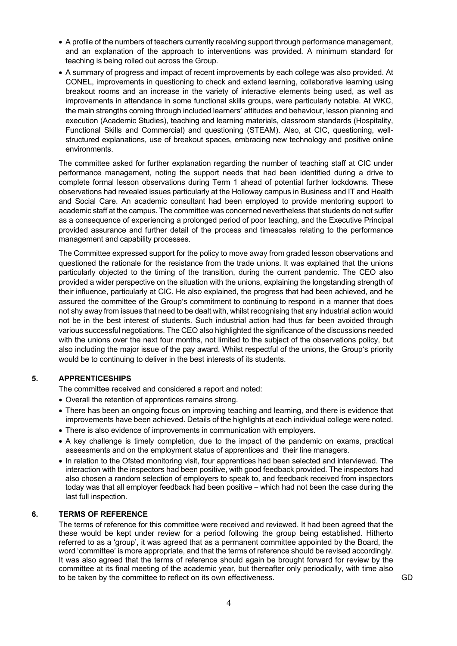- A profile of the numbers of teachers currently receiving support through performance management, and an explanation of the approach to interventions was provided. A minimum standard for teaching is being rolled out across the Group.
- A summary of progress and impact of recent improvements by each college was also provided. At CONEL, improvements in questioning to check and extend learning, collaborative learning using breakout rooms and an increase in the variety of interactive elements being used, as well as improvements in attendance in some functional skills groups, were particularly notable. At WKC, the main strengths coming through included learners' attitudes and behaviour, lesson planning and execution (Academic Studies), teaching and learning materials, classroom standards (Hospitality, Functional Skills and Commercial) and questioning (STEAM). Also, at CIC, questioning, wellstructured explanations, use of breakout spaces, embracing new technology and positive online environments.

The committee asked for further explanation regarding the number of teaching staff at CIC under performance management, noting the support needs that had been identified during a drive to complete formal lesson observations during Term 1 ahead of potential further lockdowns. These observations had revealed issues particularly at the Holloway campus in Business and IT and Health and Social Care. An academic consultant had been employed to provide mentoring support to academic staff at the campus. The committee was concerned nevertheless that students do not suffer as a consequence of experiencing a prolonged period of poor teaching, and the Executive Principal provided assurance and further detail of the process and timescales relating to the performance management and capability processes.

The Committee expressed support for the policy to move away from graded lesson observations and questioned the rationale for the resistance from the trade unions. It was explained that the unions particularly objected to the timing of the transition, during the current pandemic. The CEO also provided a wider perspective on the situation with the unions, explaining the longstanding strength of their influence, particularly at CIC. He also explained, the progress that had been achieved, and he assured the committee of the Group's commitment to continuing to respond in a manner that does not shy away from issues that need to be dealt with, whilst recognising that any industrial action would not be in the best interest of students. Such industrial action had thus far been avoided through various successful negotiations. The CEO also highlighted the significance of the discussions needed with the unions over the next four months, not limited to the subject of the observations policy, but also including the major issue of the pay award. Whilst respectful of the unions, the Group's priority would be to continuing to deliver in the best interests of its students.

# **5. APPRENTICESHIPS**

The committee received and considered a report and noted:

- Overall the retention of apprentices remains strong.
- There has been an ongoing focus on improving teaching and learning, and there is evidence that improvements have been achieved. Details of the highlights at each individual college were noted.
- There is also evidence of improvements in communication with employers.
- A key challenge is timely completion, due to the impact of the pandemic on exams, practical assessments and on the employment status of apprentices and their line managers.
- In relation to the Ofsted monitoring visit, four apprentices had been selected and interviewed. The interaction with the inspectors had been positive, with good feedback provided. The inspectors had also chosen a random selection of employers to speak to, and feedback received from inspectors today was that all employer feedback had been positive – which had not been the case during the last full inspection.

# **6. TERMS OF REFERENCE**

The terms of reference for this committee were received and reviewed. It had been agreed that the these would be kept under review for a period following the group being established. Hitherto referred to as a 'group', it was agreed that as a permanent committee appointed by the Board, the word 'committee' is more appropriate, and that the terms of reference should be revised accordingly. It was also agreed that the terms of reference should again be brought forward for review by the committee at its final meeting of the academic year, but thereafter only periodically, with time also to be taken by the committee to reflect on its own effectiveness. GD